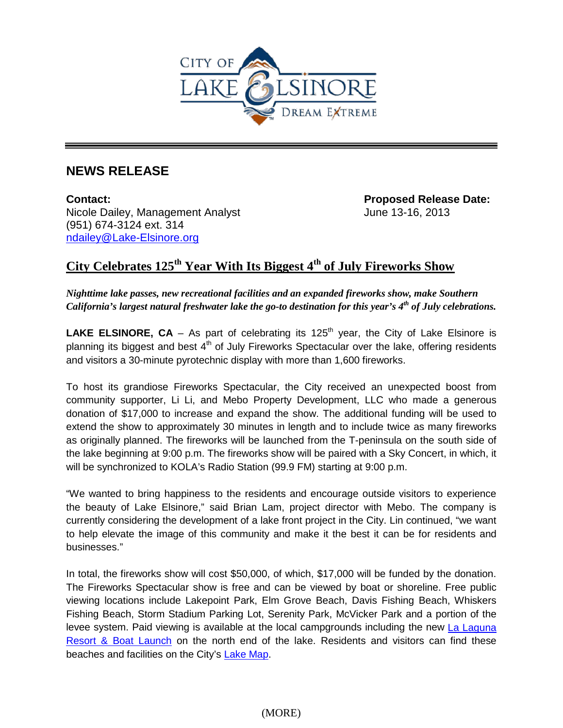

## **NEWS RELEASE**

**Contact: Proposed Release Date:**  Nicole Dailey, Management Analyst **June 13-16, 2013** (951) 674-3124 ext. 314 [ndailey@Lake-Elsinore.org](mailto:ndailey@Lake-Elsinore.org)

## **City Celebrates 125th Year With Its Biggest 4th of July Fireworks Show**

*Nighttime lake passes, new recreational facilities and an expanded fireworks show, make Southern California's largest natural freshwater lake the go-to destination for this year's 4th of July celebrations.* 

**LAKE ELSINORE, CA** – As part of celebrating its 125<sup>th</sup> year, the City of Lake Elsinore is planning its biggest and best  $4<sup>th</sup>$  of July Fireworks Spectacular over the lake, offering residents and visitors a 30-minute pyrotechnic display with more than 1,600 fireworks.

To host its grandiose Fireworks Spectacular, the City received an unexpected boost from community supporter, Li Li, and Mebo Property Development, LLC who made a generous donation of \$17,000 to increase and expand the show. The additional funding will be used to extend the show to approximately 30 minutes in length and to include twice as many fireworks as originally planned. The fireworks will be launched from the T-peninsula on the south side of the lake beginning at 9:00 p.m. The fireworks show will be paired with a Sky Concert, in which, it will be synchronized to KOLA's Radio Station (99.9 FM) starting at 9:00 p.m.

"We wanted to bring happiness to the residents and encourage outside visitors to experience the beauty of Lake Elsinore," said Brian Lam, project director with Mebo. The company is currently considering the development of a lake front project in the City. Lin continued, "we want to help elevate the image of this community and make it the best it can be for residents and businesses."

In total, the fireworks show will cost \$50,000, of which, \$17,000 will be funded by the donation. The Fireworks Spectacular show is free and can be viewed by boat or shoreline. Free public viewing locations include Lakepoint Park, Elm Grove Beach, Davis Fishing Beach, Whiskers Fishing Beach, Storm Stadium Parking Lot, Serenity Park, McVicker Park and a portion of the levee system. Paid viewing is available at the local campgrounds including the new [La Laguna](http://www.lake-elsinore.org/index.aspx?page=546)  [Resort & Boat Launch](http://www.lake-elsinore.org/index.aspx?page=546) on the north end of the lake. Residents and visitors can find these beaches and facilities on the City's [Lake Map.](http://www.lake-elsinore.org/Modules/ShowDocument.aspx?documentid=9132)